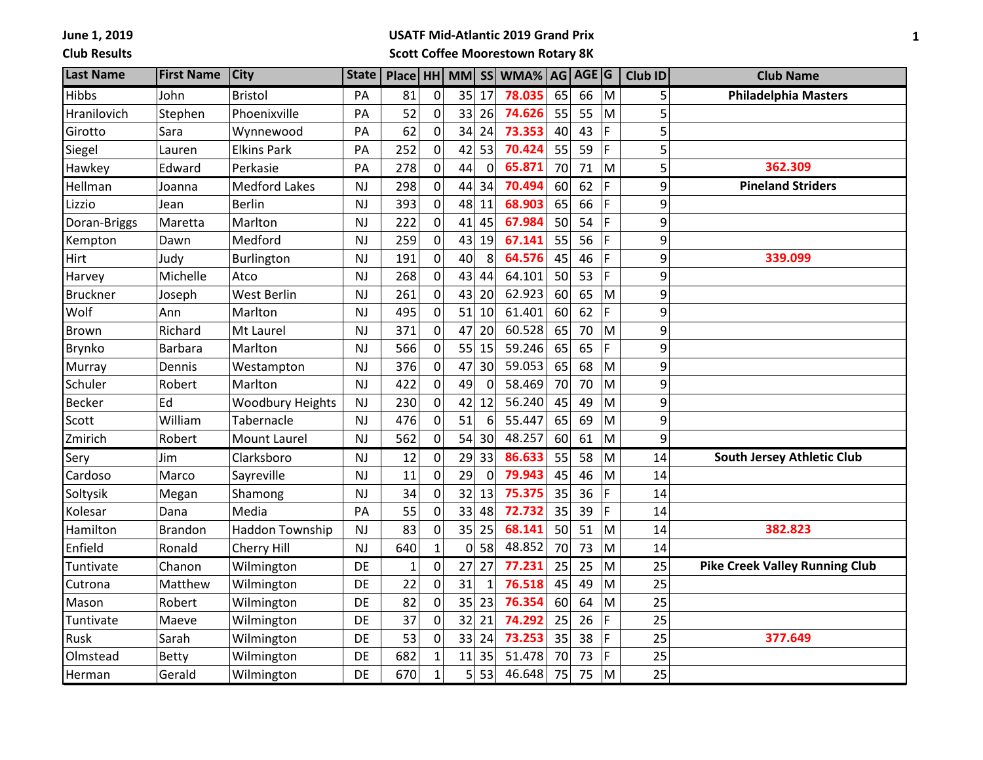**June 1, 2019 Club Results**

## **USATF Mid-Atlantic 2019 Grand Prix**

**Scott Coffee Moorestown Rotary 8K**

| <b>Last Name</b> | <b>First Name</b> | <b>City</b>             | <b>State</b> | Place HH MM  |                |    |                  | SS WMA% AG AGE G |    |    |             | Club ID | <b>Club Name</b>                      |
|------------------|-------------------|-------------------------|--------------|--------------|----------------|----|------------------|------------------|----|----|-------------|---------|---------------------------------------|
| Hibbs            | John              | <b>Bristol</b>          | PA           | 81           | $\mathbf 0$    | 35 | 17               | 78.035           | 65 | 66 | M           | 5       | <b>Philadelphia Masters</b>           |
| Hranilovich      | Stephen           | Phoenixville            | PA           | 52           | 0              | 33 | 26               | 74.626           | 55 | 55 | M           | 5       |                                       |
| Girotto          | Sara              | Wynnewood               | PA           | 62           | 0              | 34 | 24               | 73.353           | 40 | 43 | F           | 5       |                                       |
| Siegel           | Lauren            | <b>Elkins Park</b>      | PA           | 252          | 0              | 42 | 53               | 70.424           | 55 | 59 | F           | 5       |                                       |
| Hawkey           | Edward            | Perkasie                | PA           | 278          | 0              | 44 | $\Omega$         | 65.871           | 70 | 71 | M           | 5       | 362.309                               |
| Hellman          | Joanna            | <b>Medford Lakes</b>    | NJ           | 298          | 0              | 44 | 34               | 70.494           | 60 | 62 | F           | 9       | <b>Pineland Striders</b>              |
| Lizzio           | Jean              | <b>Berlin</b>           | <b>NJ</b>    | 393          | 0              | 48 | 11               | 68.903           | 65 | 66 | F           | 9       |                                       |
| Doran-Briggs     | Maretta           | Marlton                 | <b>NJ</b>    | 222          | 0              | 41 | 45               | 67.984           | 50 | 54 | F           | 9       |                                       |
| Kempton          | Dawn              | Medford                 | <b>NJ</b>    | 259          | 0              | 43 | 19               | 67.141           | 55 | 56 | F           | 9       |                                       |
| Hirt             | Judy              | Burlington              | <b>NJ</b>    | 191          | 0              | 40 | 8                | 64.576           | 45 | 46 | F           | 9       | 339.099                               |
| Harvey           | Michelle          | Atco                    | <b>NJ</b>    | 268          | 0              | 43 | 44               | 64.101           | 50 | 53 | F           | 9       |                                       |
| <b>Bruckner</b>  | Joseph            | <b>West Berlin</b>      | <b>NJ</b>    | 261          | 0              | 43 | 20               | 62.923           | 60 | 65 | M           | 9       |                                       |
| Wolf             | Ann               | Marlton                 | <b>NJ</b>    | 495          | 0              | 51 | 10               | 61.401           | 60 | 62 | F           | 9       |                                       |
| <b>Brown</b>     | Richard           | Mt Laurel               | <b>NJ</b>    | 371          | 0              | 47 | 20               | 60.528           | 65 | 70 | M           | 9       |                                       |
| Brynko           | <b>Barbara</b>    | Marlton                 | <b>NJ</b>    | 566          | 0              | 55 | 15               | 59.246           | 65 | 65 | F           | 9       |                                       |
| Murray           | Dennis            | Westampton              | <b>NJ</b>    | 376          | 0              | 47 | 30               | 59.053           | 65 | 68 | M           | 9       |                                       |
| Schuler          | Robert            | Marlton                 | <b>NJ</b>    | 422          | 0              | 49 | $\mathbf 0$      | 58.469           | 70 | 70 | M           | 9       |                                       |
| <b>Becker</b>    | Ed                | <b>Woodbury Heights</b> | <b>NJ</b>    | 230          | $\mathbf 0$    | 42 | 12               | 56.240           | 45 | 49 | M           | 9       |                                       |
| Scott            | William           | Tabernacle              | <b>NJ</b>    | 476          | $\mathbf 0$    | 51 | $6 \overline{6}$ | 55.447           | 65 | 69 | M           | 9       |                                       |
| Zmirich          | Robert            | <b>Mount Laurel</b>     | <b>NJ</b>    | 562          | 0              | 54 | 30               | 48.257           | 60 | 61 | M           | 9       |                                       |
| Sery             | Jim               | Clarksboro              | <b>NJ</b>    | 12           | 0              | 29 | 33               | 86.633           | 55 | 58 | M           | 14      | <b>South Jersey Athletic Club</b>     |
| Cardoso          | Marco             | Sayreville              | <b>NJ</b>    | 11           | 0              | 29 | $\Omega$         | 79.943           | 45 | 46 | M           | 14      |                                       |
| Soltysik         | Megan             | Shamong                 | <b>NJ</b>    | 34           | $\overline{0}$ | 32 | 13               | 75.375           | 35 | 36 | F           | 14      |                                       |
| Kolesar          | Dana              | Media                   | PA           | 55           | 0              | 33 | 48               | 72.732           | 35 | 39 | F           | 14      |                                       |
| Hamilton         | <b>Brandon</b>    | <b>Haddon Township</b>  | <b>NJ</b>    | 83           | 0              | 35 | 25               | 68.141           | 50 | 51 | M           | 14      | 382.823                               |
| Enfield          | Ronald            | Cherry Hill             | <b>NJ</b>    | 640          | $\mathbf{1}$   | 0  | 58               | 48.852           | 70 | 73 | M           | 14      |                                       |
| Tuntivate        | Chanon            | Wilmington              | <b>DE</b>    | $\mathbf{1}$ | 0              | 27 | 27               | 77.231           | 25 | 25 | M           | 25      | <b>Pike Creek Valley Running Club</b> |
| Cutrona          | Matthew           | Wilmington              | DE           | 22           | 0              | 31 | 1                | 76.518           | 45 | 49 | M           | 25      |                                       |
| Mason            | Robert            | Wilmington              | DE           | 82           | 0              | 35 | 23               | 76.354           | 60 | 64 | M           | 25      |                                       |
| Tuntivate        | Maeve             | Wilmington              | DE           | 37           | 0              | 32 | 21               | 74.292           | 25 | 26 | $\mathsf F$ | 25      |                                       |
| Rusk             | Sarah             | Wilmington              | DE           | 53           | 0              | 33 | 24               | 73.253           | 35 | 38 | F           | 25      | 377.649                               |
| Olmstead         | <b>Betty</b>      | Wilmington              | DE           | 682          | $\mathbf{1}$   | 11 | 35               | 51.478           | 70 | 73 | F           | 25      |                                       |
| Herman           | Gerald            | Wilmington              | DE           | 670          | $\overline{1}$ | 5  | 53               | 46.648           | 75 | 75 | M           | 25      |                                       |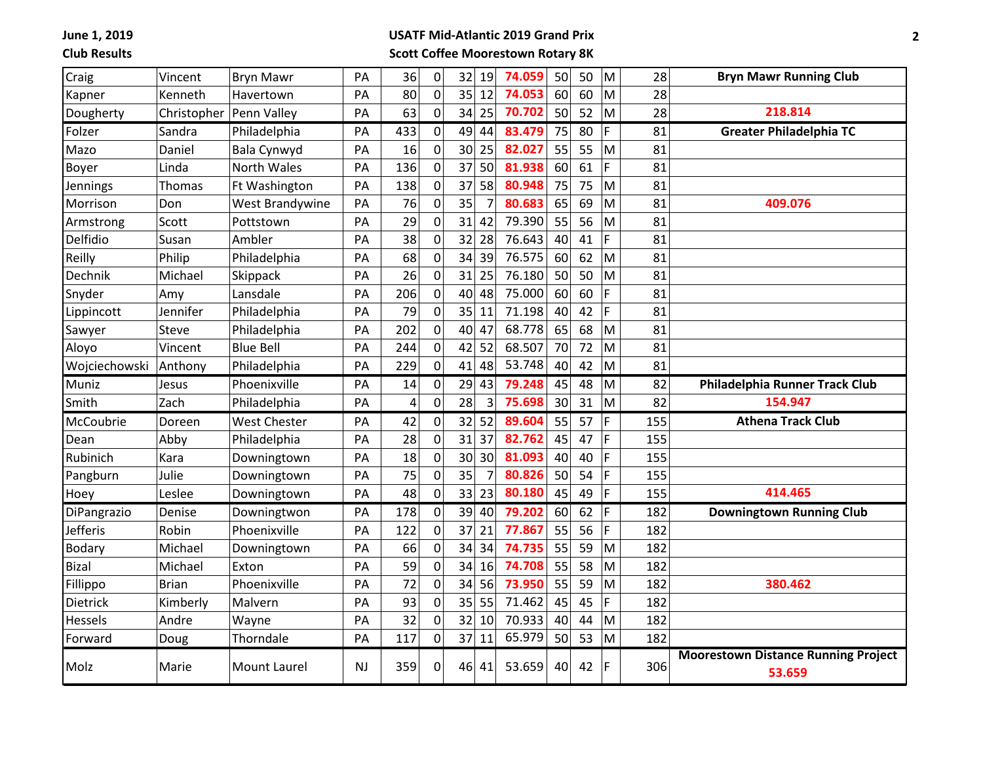**June 1, 2019**

**Club Results**

## **USATF Mid-Atlantic 2019 Grand Prix Scott Coffee Moorestown Rotary 8K**

| Craig         | Vincent      | <b>Bryn Mawr</b>    | PA | 36  | $\pmb{0}$      | 32<br>19 | 74.059 | 50 | 50 | M  | 28  | <b>Bryn Mawr Running Club</b>              |
|---------------|--------------|---------------------|----|-----|----------------|----------|--------|----|----|----|-----|--------------------------------------------|
| Kapner        | Kenneth      | Havertown           | PA | 80  | 0              | 35<br>12 | 74.053 | 60 | 60 | M  | 28  |                                            |
| Dougherty     | Christopher  | Penn Valley         | PA | 63  | 0              | 34<br>25 | 70.702 | 50 | 52 | M  | 28  | 218.814                                    |
| Folzer        | Sandra       | Philadelphia        | PA | 433 | 0              | 49<br>44 | 83.479 | 75 | 80 | F  | 81  | <b>Greater Philadelphia TC</b>             |
| Mazo          | Daniel       | Bala Cynwyd         | PA | 16  | $\mathbf 0$    | 30<br>25 | 82.027 | 55 | 55 | M  | 81  |                                            |
| Boyer         | Linda        | North Wales         | PA | 136 | 0              | 37<br>50 | 81.938 | 60 | 61 | F  | 81  |                                            |
| Jennings      | Thomas       | Ft Washington       | PA | 138 | 0              | 58<br>37 | 80.948 | 75 | 75 | M  | 81  |                                            |
| Morrison      | Don          | West Brandywine     | PA | 76  | 0              | 35<br>7  | 80.683 | 65 | 69 | M  | 81  | 409.076                                    |
| Armstrong     | Scott        | Pottstown           | PA | 29  | $\mathbf 0$    | 31<br>42 | 79.390 | 55 | 56 | M  | 81  |                                            |
| Delfidio      | Susan        | Ambler              | PA | 38  | $\pmb{0}$      | 32<br>28 | 76.643 | 40 | 41 | F  | 81  |                                            |
| Reilly        | Philip       | Philadelphia        | PA | 68  | $\pmb{0}$      | 34<br>39 | 76.575 | 60 | 62 | M  | 81  |                                            |
| Dechnik       | Michael      | Skippack            | PA | 26  | $\mathbf 0$    | 31<br>25 | 76.180 | 50 | 50 | M  | 81  |                                            |
| Snyder        | Amy          | Lansdale            | PA | 206 | $\pmb{0}$      | 40<br>48 | 75.000 | 60 | 60 | F  | 81  |                                            |
| Lippincott    | Jennifer     | Philadelphia        | PA | 79  | $\pmb{0}$      | 35<br>11 | 71.198 | 40 | 42 | F  | 81  |                                            |
| Sawyer        | Steve        | Philadelphia        | PA | 202 | $\overline{0}$ | 40<br>47 | 68.778 | 65 | 68 | M  | 81  |                                            |
| Aloyo         | Vincent      | <b>Blue Bell</b>    | PA | 244 | $\mathbf 0$    | 42<br>52 | 68.507 | 70 | 72 | M  | 81  |                                            |
| Wojciechowski | Anthony      | Philadelphia        | PA | 229 | 0              | 41<br>48 | 53.748 | 40 | 42 | M  | 81  |                                            |
| Muniz         | Jesus        | Phoenixville        | PA | 14  | 0              | 29<br>43 | 79.248 | 45 | 48 | M  | 82  | Philadelphia Runner Track Club             |
| Smith         | Zach         | Philadelphia        | PA | 4   | $\mathbf 0$    | 28<br>3  | 75.698 | 30 | 31 | M  | 82  | 154.947                                    |
| McCoubrie     | Doreen       | West Chester        | PA | 42  | 0              | 32<br>52 | 89.604 | 55 | 57 | F  | 155 | <b>Athena Track Club</b>                   |
| Dean          | Abby         | Philadelphia        | PA | 28  | $\mathbf 0$    | 31<br>37 | 82.762 | 45 | 47 | F  | 155 |                                            |
| Rubinich      | Kara         | Downingtown         | PA | 18  | $\pmb{0}$      | 30<br>30 | 81.093 | 40 | 40 | F  | 155 |                                            |
| Pangburn      | Julie        | Downingtown         | PA | 75  | 0              | 35       | 80.826 | 50 | 54 | F  | 155 |                                            |
| Hoey          | Leslee       | Downingtown         | PA | 48  | $\mathbf 0$    | 33<br>23 | 80.180 | 45 | 49 | F  | 155 | 414.465                                    |
| DiPangrazio   | Denise       | Downingtwon         | PA | 178 | $\mathbf 0$    | 39<br>40 | 79.202 | 60 | 62 | F  | 182 | <b>Downingtown Running Club</b>            |
| Jefferis      | Robin        | Phoenixville        | PA | 122 | $\pmb{0}$      | 37<br>21 | 77.867 | 55 | 56 | F  | 182 |                                            |
| <b>Bodary</b> | Michael      | Downingtown         | PA | 66  | $\pmb{0}$      | 34<br>34 | 74.735 | 55 | 59 | M  | 182 |                                            |
| <b>Bizal</b>  | Michael      | Exton               | PA | 59  | 0              | 34<br>16 | 74.708 | 55 | 58 | M  | 182 |                                            |
| Fillippo      | <b>Brian</b> | Phoenixville        | PA | 72  | $\pmb{0}$      | 34<br>56 | 73.950 | 55 | 59 | M  | 182 | 380.462                                    |
| Dietrick      | Kimberly     | Malvern             | PA | 93  | $\mathbf 0$    | 35<br>55 | 71.462 | 45 | 45 | F  | 182 |                                            |
| Hessels       | Andre        | Wayne               | PA | 32  | $\mathbf 0$    | 32<br>10 | 70.933 | 40 | 44 | M  | 182 |                                            |
| Forward       | Doug         | Thorndale           | PA | 117 | 0              | 37<br>11 | 65.979 | 50 | 53 | M  | 182 |                                            |
| Molz          | Marie        | <b>Mount Laurel</b> | NJ | 359 | $\mathbf 0$    | 46<br>41 | 53.659 | 40 | 42 | IF | 306 | <b>Moorestown Distance Running Project</b> |
|               |              |                     |    |     |                |          |        |    |    |    |     | 53.659                                     |